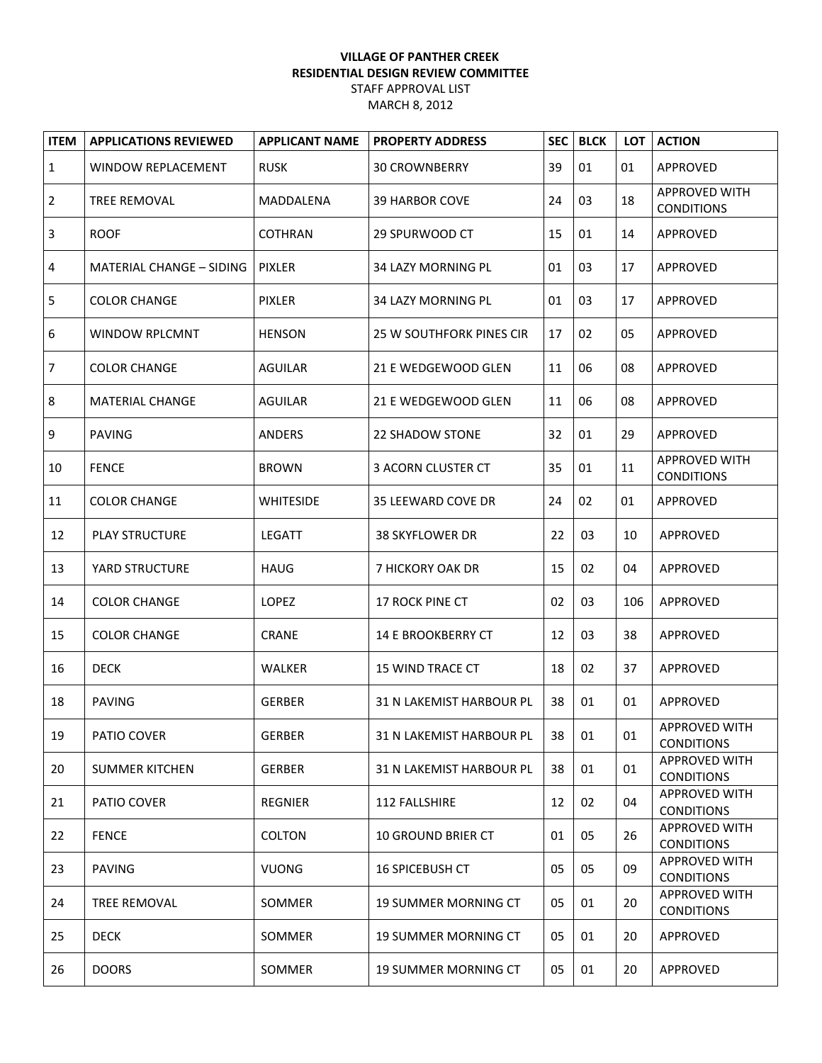## **VILLAGE OF PANTHER CREEK RESIDENTIAL DESIGN REVIEW COMMITTEE** STAFF APPROVAL LIST MARCH 8, 2012

| <b>ITEM</b>  | <b>APPLICATIONS REVIEWED</b>    | <b>APPLICANT NAME</b> | <b>PROPERTY ADDRESS</b>     | <b>SEC</b> | <b>BLCK</b> | LOT | <b>ACTION</b>                             |
|--------------|---------------------------------|-----------------------|-----------------------------|------------|-------------|-----|-------------------------------------------|
| $\mathbf{1}$ | <b>WINDOW REPLACEMENT</b>       | <b>RUSK</b>           | <b>30 CROWNBERRY</b>        | 39         | 01          | 01  | APPROVED                                  |
| 2            | TREE REMOVAL                    | MADDALENA             | <b>39 HARBOR COVE</b>       | 24         | 03          | 18  | <b>APPROVED WITH</b><br><b>CONDITIONS</b> |
| 3            | <b>ROOF</b>                     | COTHRAN               | 29 SPURWOOD CT              | 15         | 01          | 14  | APPROVED                                  |
| 4            | <b>MATERIAL CHANGE - SIDING</b> | PIXLER                | 34 LAZY MORNING PL          | 01         | 03          | 17  | APPROVED                                  |
| 5            | <b>COLOR CHANGE</b>             | <b>PIXLER</b>         | <b>34 LAZY MORNING PL</b>   | 01         | 03          | 17  | APPROVED                                  |
| 6            | <b>WINDOW RPLCMNT</b>           | <b>HENSON</b>         | 25 W SOUTHFORK PINES CIR    | 17         | 02          | 05  | APPROVED                                  |
| 7            | <b>COLOR CHANGE</b>             | <b>AGUILAR</b>        | 21 E WEDGEWOOD GLEN         | 11         | 06          | 08  | APPROVED                                  |
| 8            | <b>MATERIAL CHANGE</b>          | <b>AGUILAR</b>        | 21 E WEDGEWOOD GLEN         | 11         | 06          | 08  | APPROVED                                  |
| 9            | <b>PAVING</b>                   | <b>ANDERS</b>         | <b>22 SHADOW STONE</b>      | 32         | 01          | 29  | APPROVED                                  |
| 10           | <b>FENCE</b>                    | <b>BROWN</b>          | 3 ACORN CLUSTER CT          | 35         | 01          | 11  | <b>APPROVED WITH</b><br><b>CONDITIONS</b> |
| 11           | <b>COLOR CHANGE</b>             | <b>WHITESIDE</b>      | 35 LEEWARD COVE DR          | 24         | 02          | 01  | APPROVED                                  |
| 12           | <b>PLAY STRUCTURE</b>           | <b>LEGATT</b>         | <b>38 SKYFLOWER DR</b>      | 22         | 03          | 10  | APPROVED                                  |
| 13           | YARD STRUCTURE                  | <b>HAUG</b>           | 7 HICKORY OAK DR            | 15         | 02          | 04  | APPROVED                                  |
| 14           | <b>COLOR CHANGE</b>             | LOPEZ                 | 17 ROCK PINE CT             | 02         | 03          | 106 | APPROVED                                  |
| 15           | <b>COLOR CHANGE</b>             | <b>CRANE</b>          | <b>14 E BROOKBERRY CT</b>   | 12         | 03          | 38  | APPROVED                                  |
| 16           | <b>DECK</b>                     | <b>WALKER</b>         | 15 WIND TRACE CT            | 18         | 02          | 37  | APPROVED                                  |
| 18           | <b>PAVING</b>                   | <b>GERBER</b>         | 31 N LAKEMIST HARBOUR PL    | 38         | 01          | 01  | APPROVED                                  |
| 19           | PATIO COVER                     | <b>GERBER</b>         | 31 N LAKEMIST HARBOUR PL    | 38         | 01          | 01  | APPROVED WITH<br><b>CONDITIONS</b>        |
| 20           | <b>SUMMER KITCHEN</b>           | <b>GERBER</b>         | 31 N LAKEMIST HARBOUR PL    | 38         | 01          | 01  | APPROVED WITH<br><b>CONDITIONS</b>        |
| 21           | PATIO COVER                     | <b>REGNIER</b>        | 112 FALLSHIRE               | 12         | 02          | 04  | <b>APPROVED WITH</b><br><b>CONDITIONS</b> |
| 22           | <b>FENCE</b>                    | <b>COLTON</b>         | <b>10 GROUND BRIER CT</b>   | 01         | 05          | 26  | <b>APPROVED WITH</b><br><b>CONDITIONS</b> |
| 23           | <b>PAVING</b>                   | <b>VUONG</b>          | <b>16 SPICEBUSH CT</b>      | 05         | 05          | 09  | <b>APPROVED WITH</b><br><b>CONDITIONS</b> |
| 24           | TREE REMOVAL                    | SOMMER                | <b>19 SUMMER MORNING CT</b> | 05         | 01          | 20  | <b>APPROVED WITH</b><br><b>CONDITIONS</b> |
| 25           | <b>DECK</b>                     | SOMMER                | <b>19 SUMMER MORNING CT</b> | 05         | 01          | 20  | APPROVED                                  |
| 26           | <b>DOORS</b>                    | SOMMER                | <b>19 SUMMER MORNING CT</b> | 05         | 01          | 20  | APPROVED                                  |